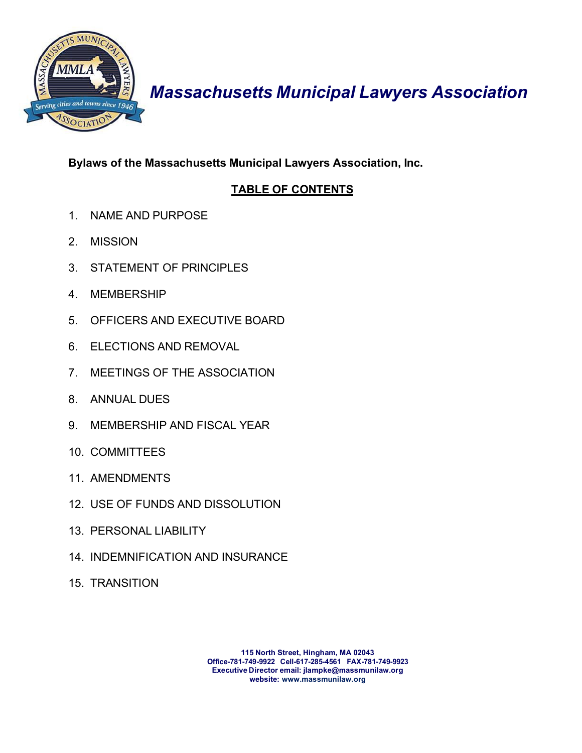

# *Massachusetts Municipal Lawyers Association*

# **Bylaws of the Massachusetts Municipal Lawyers Association, Inc.**

# **TABLE OF CONTENTS**

- 1. NAME AND PURPOSE
- 2. MISSION
- 3. STATEMENT OF PRINCIPLES
- 4. MEMBERSHIP
- 5. OFFICERS AND EXECUTIVE BOARD
- 6. ELECTIONS AND REMOVAL
- 7. MEETINGS OF THE ASSOCIATION
- 8. ANNUAL DUES
- 9. MEMBERSHIP AND FISCAL YEAR
- 10. COMMITTEES
- 11. AMENDMENTS
- 12. USE OF FUNDS AND DISSOLUTION
- 13. PERSONAL LIABILITY
- 14. INDEMNIFICATION AND INSURANCE
- 15. TRANSITION

**115 North Street, Hingham, MA 02043 Office-781-749-9922 Cell-617-285-4561 FAX-781-749-9923 Executive Director email: [jlampke@massmunilaw.org](mailto:jlampke@massmunilaw.org) website: [www.massmunilaw.org](http://www.massmunilaw.org/)**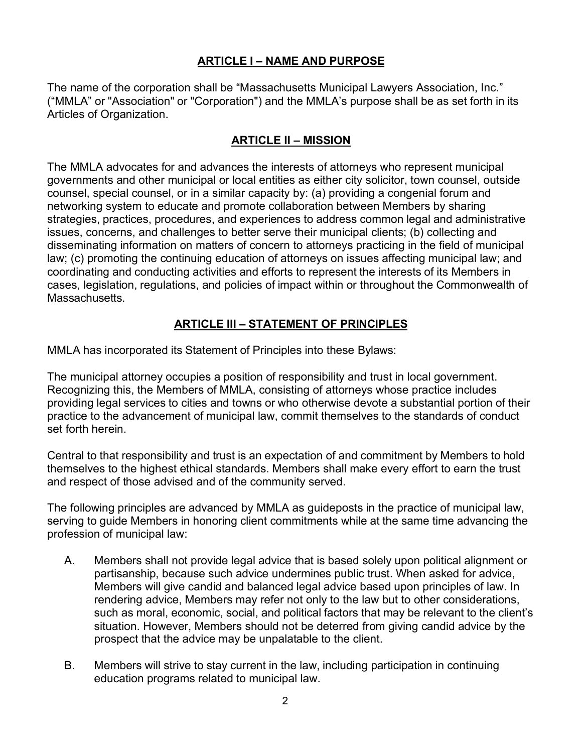### **ARTICLE I – NAME AND PURPOSE**

The name of the corporation shall be "Massachusetts Municipal Lawyers Association, Inc." ("MMLA" or "Association" or "Corporation") and the MMLA's purpose shall be as set forth in its Articles of Organization.

#### **ARTICLE II – MISSION**

The MMLA advocates for and advances the interests of attorneys who represent municipal governments and other municipal or local entities as either city solicitor, town counsel, outside counsel, special counsel, or in a similar capacity by: (a) providing a congenial forum and networking system to educate and promote collaboration between Members by sharing strategies, practices, procedures, and experiences to address common legal and administrative issues, concerns, and challenges to better serve their municipal clients; (b) collecting and disseminating information on matters of concern to attorneys practicing in the field of municipal law; (c) promoting the continuing education of attorneys on issues affecting municipal law; and coordinating and conducting activities and efforts to represent the interests of its Members in cases, legislation, regulations, and policies of impact within or throughout the Commonwealth of Massachusetts.

### **ARTICLE III – STATEMENT OF PRINCIPLES**

MMLA has incorporated its Statement of Principles into these Bylaws:

The municipal attorney occupies a position of responsibility and trust in local government. Recognizing this, the Members of MMLA, consisting of attorneys whose practice includes providing legal services to cities and towns or who otherwise devote a substantial portion of their practice to the advancement of municipal law, commit themselves to the standards of conduct set forth herein.

Central to that responsibility and trust is an expectation of and commitment by Members to hold themselves to the highest ethical standards. Members shall make every effort to earn the trust and respect of those advised and of the community served.

The following principles are advanced by MMLA as guideposts in the practice of municipal law, serving to guide Members in honoring client commitments while at the same time advancing the profession of municipal law:

- A. Members shall not provide legal advice that is based solely upon political alignment or partisanship, because such advice undermines public trust. When asked for advice, Members will give candid and balanced legal advice based upon principles of law. In rendering advice, Members may refer not only to the law but to other considerations, such as moral, economic, social, and political factors that may be relevant to the client's situation. However, Members should not be deterred from giving candid advice by the prospect that the advice may be unpalatable to the client.
- B. Members will strive to stay current in the law, including participation in continuing education programs related to municipal law.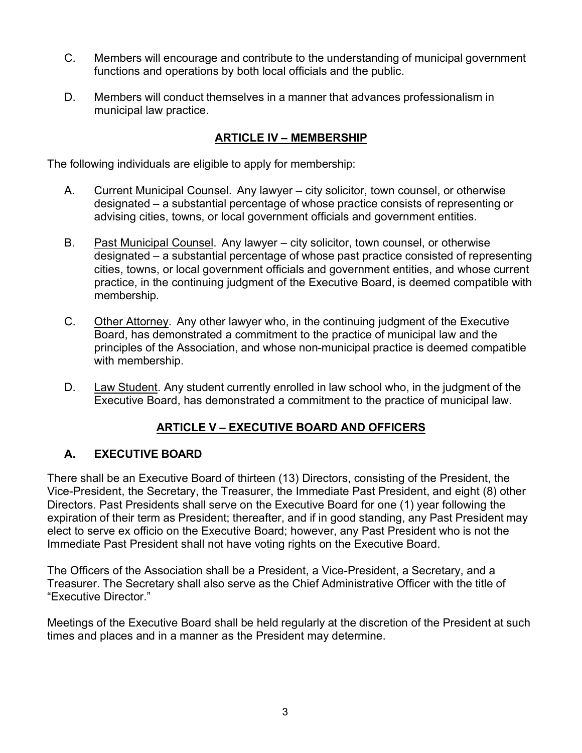- C. Members will encourage and contribute to the understanding of municipal government functions and operations by both local officials and the public.
- D. Members will conduct themselves in a manner that advances professionalism in municipal law practice.

### **ARTICLE IV – MEMBERSHIP**

The following individuals are eligible to apply for membership:

- A. Current Municipal Counsel. Any lawyer city solicitor, town counsel, or otherwise designated – a substantial percentage of whose practice consists of representing or advising cities, towns, or local government officials and government entities.
- B. Past Municipal Counsel. Any lawyer city solicitor, town counsel, or otherwise designated – a substantial percentage of whose past practice consisted of representing cities, towns, or local government officials and government entities, and whose current practice, in the continuing judgment of the Executive Board, is deemed compatible with membership.
- C. Other Attorney. Any other lawyer who, in the continuing judgment of the Executive Board, has demonstrated a commitment to the practice of municipal law and the principles of the Association, and whose non-municipal practice is deemed compatible with membership.
- D. Law Student. Any student currently enrolled in law school who, in the judgment of the Executive Board, has demonstrated a commitment to the practice of municipal law.

# **ARTICLE V – EXECUTIVE BOARD AND OFFICERS**

# **A. EXECUTIVE BOARD**

There shall be an Executive Board of thirteen (13) Directors, consisting of the President, the Vice-President, the Secretary, the Treasurer, the Immediate Past President, and eight (8) other Directors. Past Presidents shall serve on the Executive Board for one (1) year following the expiration of their term as President; thereafter, and if in good standing, any Past President may elect to serve ex officio on the Executive Board; however, any Past President who is not the Immediate Past President shall not have voting rights on the Executive Board.

The Officers of the Association shall be a President, a Vice-President, a Secretary, and a Treasurer. The Secretary shall also serve as the Chief Administrative Officer with the title of "Executive Director."

Meetings of the Executive Board shall be held regularly at the discretion of the President at such times and places and in a manner as the President may determine.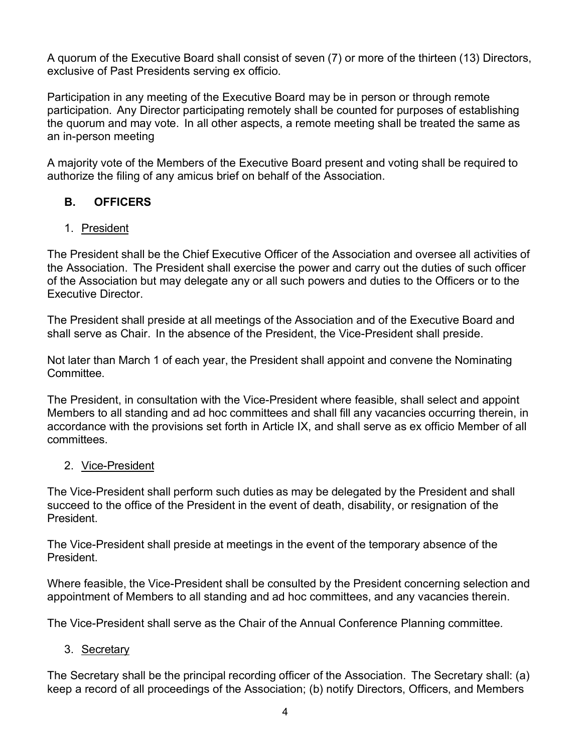A quorum of the Executive Board shall consist of seven (7) or more of the thirteen (13) Directors, exclusive of Past Presidents serving ex officio.

Participation in any meeting of the Executive Board may be in person or through remote participation. Any Director participating remotely shall be counted for purposes of establishing the quorum and may vote. In all other aspects, a remote meeting shall be treated the same as an in-person meeting

A majority vote of the Members of the Executive Board present and voting shall be required to authorize the filing of any amicus brief on behalf of the Association.

# **B. OFFICERS**

### 1. President

The President shall be the Chief Executive Officer of the Association and oversee all activities of the Association. The President shall exercise the power and carry out the duties of such officer of the Association but may delegate any or all such powers and duties to the Officers or to the Executive Director.

The President shall preside at all meetings of the Association and of the Executive Board and shall serve as Chair. In the absence of the President, the Vice-President shall preside.

Not later than March 1 of each year, the President shall appoint and convene the Nominating **Committee** 

The President, in consultation with the Vice-President where feasible, shall select and appoint Members to all standing and ad hoc committees and shall fill any vacancies occurring therein, in accordance with the provisions set forth in Article IX, and shall serve as ex officio Member of all committees.

### 2. Vice-President

The Vice-President shall perform such duties as may be delegated by the President and shall succeed to the office of the President in the event of death, disability, or resignation of the President.

The Vice-President shall preside at meetings in the event of the temporary absence of the President.

Where feasible, the Vice-President shall be consulted by the President concerning selection and appointment of Members to all standing and ad hoc committees, and any vacancies therein.

The Vice-President shall serve as the Chair of the Annual Conference Planning committee.

# 3. Secretary

The Secretary shall be the principal recording officer of the Association. The Secretary shall: (a) keep a record of all proceedings of the Association; (b) notify Directors, Officers, and Members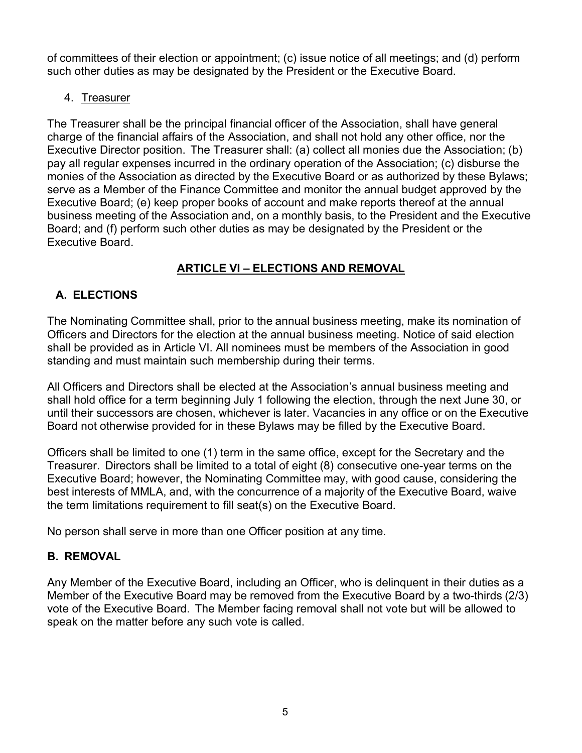of committees of their election or appointment; (c) issue notice of all meetings; and (d) perform such other duties as may be designated by the President or the Executive Board.

4. Treasurer

The Treasurer shall be the principal financial officer of the Association, shall have general charge of the financial affairs of the Association, and shall not hold any other office, nor the Executive Director position. The Treasurer shall: (a) collect all monies due the Association; (b) pay all regular expenses incurred in the ordinary operation of the Association; (c) disburse the monies of the Association as directed by the Executive Board or as authorized by these Bylaws; serve as a Member of the Finance Committee and monitor the annual budget approved by the Executive Board; (e) keep proper books of account and make reports thereof at the annual business meeting of the Association and, on a monthly basis, to the President and the Executive Board; and (f) perform such other duties as may be designated by the President or the Executive Board.

# **ARTICLE VI – ELECTIONS AND REMOVAL**

# **A. ELECTIONS**

The Nominating Committee shall, prior to the annual business meeting, make its nomination of Officers and Directors for the election at the annual business meeting. Notice of said election shall be provided as in Article VI. All nominees must be members of the Association in good standing and must maintain such membership during their terms.

All Officers and Directors shall be elected at the Association's annual business meeting and shall hold office for a term beginning July 1 following the election, through the next June 30, or until their successors are chosen, whichever is later. Vacancies in any office or on the Executive Board not otherwise provided for in these Bylaws may be filled by the Executive Board.

Officers shall be limited to one (1) term in the same office, except for the Secretary and the Treasurer. Directors shall be limited to a total of eight (8) consecutive one-year terms on the Executive Board; however, the Nominating Committee may, with good cause, considering the best interests of MMLA, and, with the concurrence of a majority of the Executive Board, waive the term limitations requirement to fill seat(s) on the Executive Board.

No person shall serve in more than one Officer position at any time.

# **B. REMOVAL**

Any Member of the Executive Board, including an Officer, who is delinquent in their duties as a Member of the Executive Board may be removed from the Executive Board by a two-thirds (2/3) vote of the Executive Board. The Member facing removal shall not vote but will be allowed to speak on the matter before any such vote is called.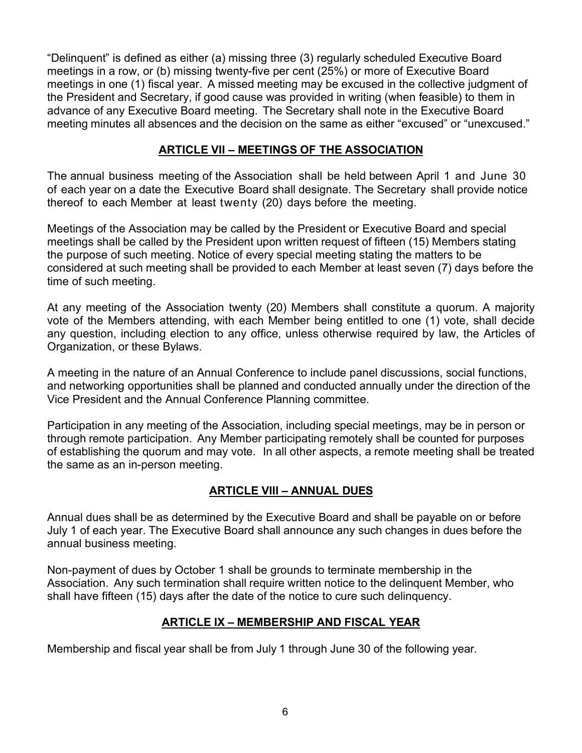"Delinquent" is defined as either (a) missing three (3) regularly scheduled Executive Board meetings in a row, or (b) missing twenty-five per cent (25%) or more of Executive Board meetings in one (1) fiscal year. A missed meeting may be excused in the collective judgment of the President and Secretary, if good cause was provided in writing (when feasible) to them in advance of any Executive Board meeting. The Secretary shall note in the Executive Board meeting minutes all absences and the decision on the same as either "excused" or "unexcused."

### **ARTICLE VII – MEETINGS OF THE ASSOCIATION**

The annual business meeting of the Association shall be held between April 1 and June 30 of each year on a date the Executive Board shall designate. The Secretary shall provide notice thereof to each Member at least twenty (20) days before the meeting.

Meetings of the Association may be called by the President or Executive Board and special meetings shall be called by the President upon written request of fifteen (15) Members stating the purpose of such meeting. Notice of every special meeting stating the matters to be considered at such meeting shall be provided to each Member at least seven (7) days before the time of such meeting.

At any meeting of the Association twenty (20) Members shall constitute a quorum. A majority vote of the Members attending, with each Member being entitled to one (1) vote, shall decide any question, including election to any office, unless otherwise required by law, the Articles of Organization, or these Bylaws.

A meeting in the nature of an Annual Conference to include panel discussions, social functions, and networking opportunities shall be planned and conducted annually under the direction of the Vice President and the Annual Conference Planning committee.

Participation in any meeting of the Association, including special meetings, may be in person or through remote participation. Any Member participating remotely shall be counted for purposes of establishing the quorum and may vote. In all other aspects, a remote meeting shall be treated the same as an in-person meeting.

# **ARTICLE VIII – ANNUAL DUES**

Annual dues shall be as determined by the Executive Board and shall be payable on or before July 1 of each year. The Executive Board shall announce any such changes in dues before the annual business meeting.

Non-payment of dues by October 1 shall be grounds to terminate membership in the Association. Any such termination shall require written notice to the delinquent Member, who shall have fifteen (15) days after the date of the notice to cure such delinquency.

# **ARTICLE IX – MEMBERSHIP AND FISCAL YEAR**

Membership and fiscal year shall be from July 1 through June 30 of the following year.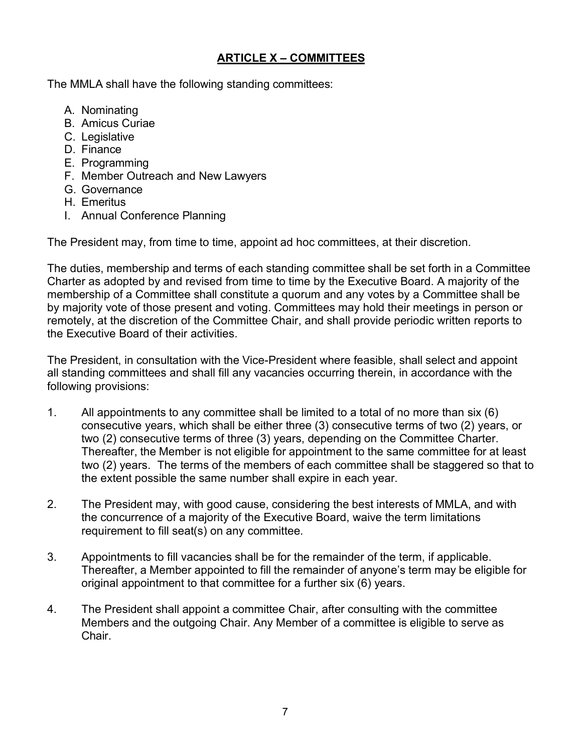### **ARTICLE X – COMMITTEES**

The MMLA shall have the following standing committees:

- A. Nominating
- B. Amicus Curiae
- C. Legislative
- D. Finance
- E. Programming
- F. Member Outreach and New Lawyers
- G. Governance
- H. Emeritus
- I. Annual Conference Planning

The President may, from time to time, appoint ad hoc committees, at their discretion.

The duties, membership and terms of each standing committee shall be set forth in a Committee Charter as adopted by and revised from time to time by the Executive Board. A majority of the membership of a Committee shall constitute a quorum and any votes by a Committee shall be by majority vote of those present and voting. Committees may hold their meetings in person or remotely, at the discretion of the Committee Chair, and shall provide periodic written reports to the Executive Board of their activities.

The President, in consultation with the Vice-President where feasible, shall select and appoint all standing committees and shall fill any vacancies occurring therein, in accordance with the following provisions:

- 1. All appointments to any committee shall be limited to a total of no more than six (6) consecutive years, which shall be either three (3) consecutive terms of two (2) years, or two (2) consecutive terms of three (3) years, depending on the Committee Charter. Thereafter, the Member is not eligible for appointment to the same committee for at least two (2) years. The terms of the members of each committee shall be staggered so that to the extent possible the same number shall expire in each year.
- 2. The President may, with good cause, considering the best interests of MMLA, and with the concurrence of a majority of the Executive Board, waive the term limitations requirement to fill seat(s) on any committee.
- 3. Appointments to fill vacancies shall be for the remainder of the term, if applicable. Thereafter, a Member appointed to fill the remainder of anyone's term may be eligible for original appointment to that committee for a further six (6) years.
- 4. The President shall appoint a committee Chair, after consulting with the committee Members and the outgoing Chair. Any Member of a committee is eligible to serve as Chair.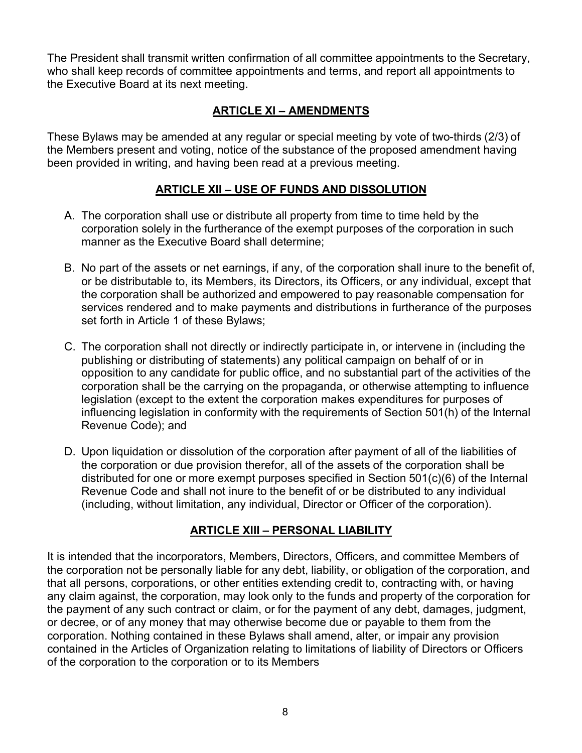The President shall transmit written confirmation of all committee appointments to the Secretary, who shall keep records of committee appointments and terms, and report all appointments to the Executive Board at its next meeting.

# **ARTICLE XI – AMENDMENTS**

These Bylaws may be amended at any regular or special meeting by vote of two-thirds (2/3) of the Members present and voting, notice of the substance of the proposed amendment having been provided in writing, and having been read at a previous meeting.

### **ARTICLE XII – USE OF FUNDS AND DISSOLUTION**

- A. The corporation shall use or distribute all property from time to time held by the corporation solely in the furtherance of the exempt purposes of the corporation in such manner as the Executive Board shall determine;
- B. No part of the assets or net earnings, if any, of the corporation shall inure to the benefit of, or be distributable to, its Members, its Directors, its Officers, or any individual, except that the corporation shall be authorized and empowered to pay reasonable compensation for services rendered and to make payments and distributions in furtherance of the purposes set forth in Article 1 of these Bylaws;
- C. The corporation shall not directly or indirectly participate in, or intervene in (including the publishing or distributing of statements) any political campaign on behalf of or in opposition to any candidate for public office, and no substantial part of the activities of the corporation shall be the carrying on the propaganda, or otherwise attempting to influence legislation (except to the extent the corporation makes expenditures for purposes of influencing legislation in conformity with the requirements of Section 501(h) of the Internal Revenue Code); and
- D. Upon liquidation or dissolution of the corporation after payment of all of the liabilities of the corporation or due provision therefor, all of the assets of the corporation shall be distributed for one or more exempt purposes specified in Section 501(c)(6) of the Internal Revenue Code and shall not inure to the benefit of or be distributed to any individual (including, without limitation, any individual, Director or Officer of the corporation).

# **ARTICLE XIII – PERSONAL LIABILITY**

It is intended that the incorporators, Members, Directors, Officers, and committee Members of the corporation not be personally liable for any debt, liability, or obligation of the corporation, and that all persons, corporations, or other entities extending credit to, contracting with, or having any claim against, the corporation, may look only to the funds and property of the corporation for the payment of any such contract or claim, or for the payment of any debt, damages, judgment, or decree, or of any money that may otherwise become due or payable to them from the corporation. Nothing contained in these Bylaws shall amend, alter, or impair any provision contained in the Articles of Organization relating to limitations of liability of Directors or Officers of the corporation to the corporation or to its Members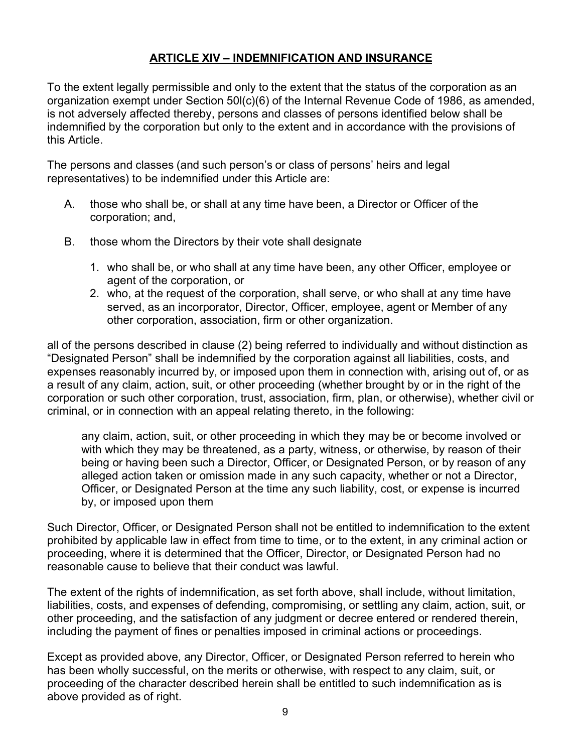### **ARTICLE XIV – INDEMNIFICATION AND INSURANCE**

To the extent legally permissible and only to the extent that the status of the corporation as an organization exempt under Section 50l(c)(6) of the Internal Revenue Code of 1986, as amended, is not adversely affected thereby, persons and classes of persons identified below shall be indemnified by the corporation but only to the extent and in accordance with the provisions of this Article.

The persons and classes (and such person's or class of persons' heirs and legal representatives) to be indemnified under this Article are:

- A. those who shall be, or shall at any time have been, a Director or Officer of the corporation; and,
- B. those whom the Directors by their vote shall designate
	- 1. who shall be, or who shall at any time have been, any other Officer, employee or agent of the corporation, or
	- 2. who, at the request of the corporation, shall serve, or who shall at any time have served, as an incorporator, Director, Officer, employee, agent or Member of any other corporation, association, firm or other organization.

all of the persons described in clause (2) being referred to individually and without distinction as "Designated Person" shall be indemnified by the corporation against all liabilities, costs, and expenses reasonably incurred by, or imposed upon them in connection with, arising out of, or as a result of any claim, action, suit, or other proceeding (whether brought by or in the right of the corporation or such other corporation, trust, association, firm, plan, or otherwise), whether civil or criminal, or in connection with an appeal relating thereto, in the following:

any claim, action, suit, or other proceeding in which they may be or become involved or with which they may be threatened, as a party, witness, or otherwise, by reason of their being or having been such a Director, Officer, or Designated Person, or by reason of any alleged action taken or omission made in any such capacity, whether or not a Director, Officer, or Designated Person at the time any such liability, cost, or expense is incurred by, or imposed upon them

Such Director, Officer, or Designated Person shall not be entitled to indemnification to the extent prohibited by applicable law in effect from time to time, or to the extent, in any criminal action or proceeding, where it is determined that the Officer, Director, or Designated Person had no reasonable cause to believe that their conduct was lawful.

The extent of the rights of indemnification, as set forth above, shall include, without limitation, liabilities, costs, and expenses of defending, compromising, or settling any claim, action, suit, or other proceeding, and the satisfaction of any judgment or decree entered or rendered therein, including the payment of fines or penalties imposed in criminal actions or proceedings.

Except as provided above, any Director, Officer, or Designated Person referred to herein who has been wholly successful, on the merits or otherwise, with respect to any claim, suit, or proceeding of the character described herein shall be entitled to such indemnification as is above provided as of right.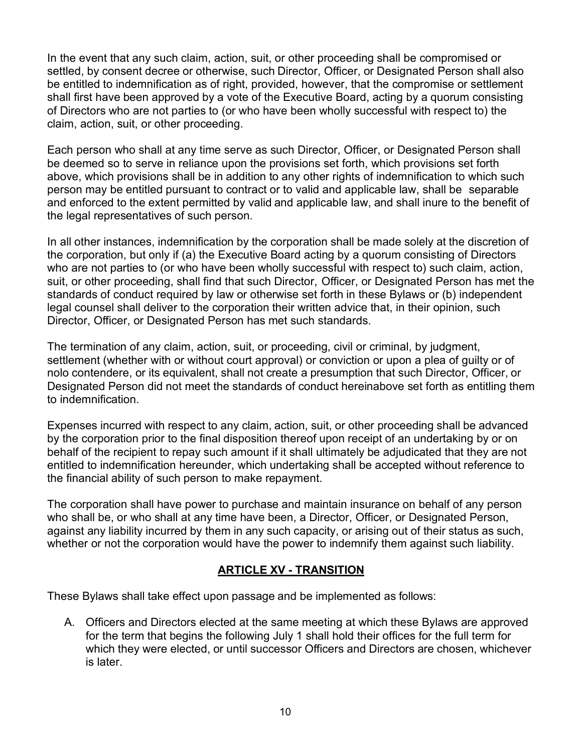In the event that any such claim, action, suit, or other proceeding shall be compromised or settled, by consent decree or otherwise, such Director, Officer, or Designated Person shall also be entitled to indemnification as of right, provided, however, that the compromise or settlement shall first have been approved by a vote of the Executive Board, acting by a quorum consisting of Directors who are not parties to (or who have been wholly successful with respect to) the claim, action, suit, or other proceeding.

Each person who shall at any time serve as such Director, Officer, or Designated Person shall be deemed so to serve in reliance upon the provisions set forth, which provisions set forth above, which provisions shall be in addition to any other rights of indemnification to which such person may be entitled pursuant to contract or to valid and applicable law, shall be separable and enforced to the extent permitted by valid and applicable law, and shall inure to the benefit of the legal representatives of such person.

In all other instances, indemnification by the corporation shall be made solely at the discretion of the corporation, but only if (a) the Executive Board acting by a quorum consisting of Directors who are not parties to (or who have been wholly successful with respect to) such claim, action, suit, or other proceeding, shall find that such Director, Officer, or Designated Person has met the standards of conduct required by law or otherwise set forth in these Bylaws or (b) independent legal counsel shall deliver to the corporation their written advice that, in their opinion, such Director, Officer, or Designated Person has met such standards.

The termination of any claim, action, suit, or proceeding, civil or criminal, by judgment, settlement (whether with or without court approval) or conviction or upon a plea of guilty or of nolo contendere, or its equivalent, shall not create a presumption that such Director, Officer, or Designated Person did not meet the standards of conduct hereinabove set forth as entitling them to indemnification.

Expenses incurred with respect to any claim, action, suit, or other proceeding shall be advanced by the corporation prior to the final disposition thereof upon receipt of an undertaking by or on behalf of the recipient to repay such amount if it shall ultimately be adjudicated that they are not entitled to indemnification hereunder, which undertaking shall be accepted without reference to the financial ability of such person to make repayment.

The corporation shall have power to purchase and maintain insurance on behalf of any person who shall be, or who shall at any time have been, a Director, Officer, or Designated Person, against any liability incurred by them in any such capacity, or arising out of their status as such, whether or not the corporation would have the power to indemnify them against such liability.

### **ARTICLE XV - TRANSITION**

These Bylaws shall take effect upon passage and be implemented as follows:

A. Officers and Directors elected at the same meeting at which these Bylaws are approved for the term that begins the following July 1 shall hold their offices for the full term for which they were elected, or until successor Officers and Directors are chosen, whichever is later.